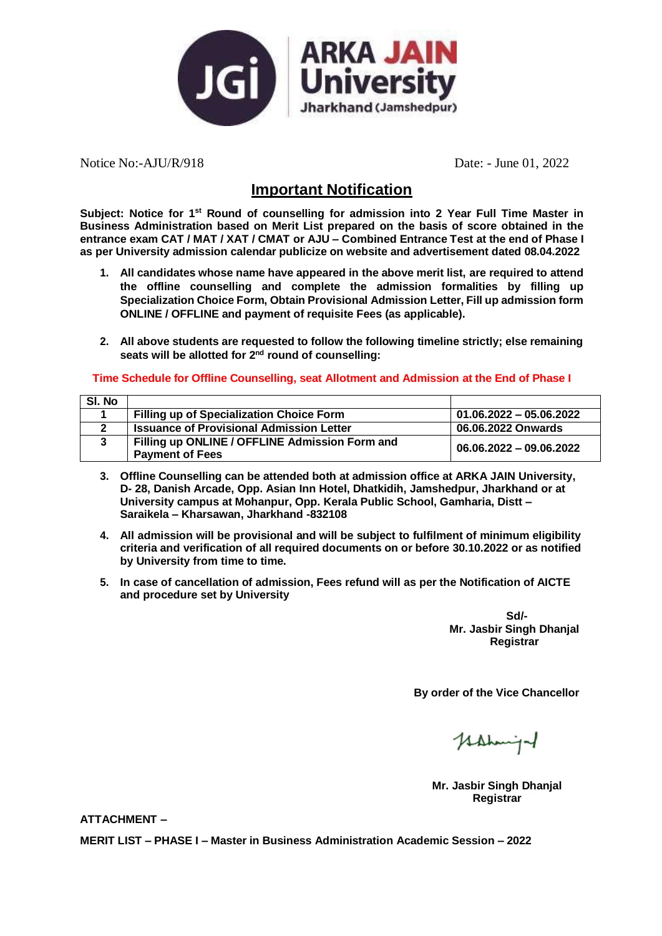

Notice No:-AJU/R/918 Date: - June 01, 2022

### **Important Notification**

**Subject: Notice for 1st Round of counselling for admission into 2 Year Full Time Master in Business Administration based on Merit List prepared on the basis of score obtained in the entrance exam CAT / MAT / XAT / CMAT or AJU – Combined Entrance Test at the end of Phase I as per University admission calendar publicize on website and advertisement dated 08.04.2022**

- **1. All candidates whose name have appeared in the above merit list, are required to attend the offline counselling and complete the admission formalities by filling up Specialization Choice Form, Obtain Provisional Admission Letter, Fill up admission form ONLINE / OFFLINE and payment of requisite Fees (as applicable).**
- **2. All above students are requested to follow the following timeline strictly; else remaining seats will be allotted for 2 nd round of counselling:**

**Time Schedule for Offline Counselling, seat Allotment and Admission at the End of Phase I**

| SI. No |                                                 |                           |
|--------|-------------------------------------------------|---------------------------|
|        | <b>Filling up of Specialization Choice Form</b> | $01.06.2022 - 05.06.2022$ |
|        | <b>Issuance of Provisional Admission Letter</b> | 06.06.2022 Onwards        |
|        | Filling up ONLINE / OFFLINE Admission Form and  | 06.06.2022 - 09.06.2022   |
|        | <b>Payment of Fees</b>                          |                           |

- **3. Offline Counselling can be attended both at admission office at ARKA JAIN University, D- 28, Danish Arcade, Opp. Asian Inn Hotel, Dhatkidih, Jamshedpur, Jharkhand or at University campus at Mohanpur, Opp. Kerala Public School, Gamharia, Distt – Saraikela – Kharsawan, Jharkhand -832108**
- **4. All admission will be provisional and will be subject to fulfilment of minimum eligibility criteria and verification of all required documents on or before 30.10.2022 or as notified by University from time to time.**
- **5. In case of cancellation of admission, Fees refund will as per the Notification of AICTE and procedure set by University**

**Sd/- Mr. Jasbir Singh Dhanjal Registrar**

**By order of the Vice Chancellor**

Hahmiga

**Mr. Jasbir Singh Dhanjal Registrar**

**ATTACHMENT –**

**MERIT LIST – PHASE I – Master in Business Administration Academic Session – 2022**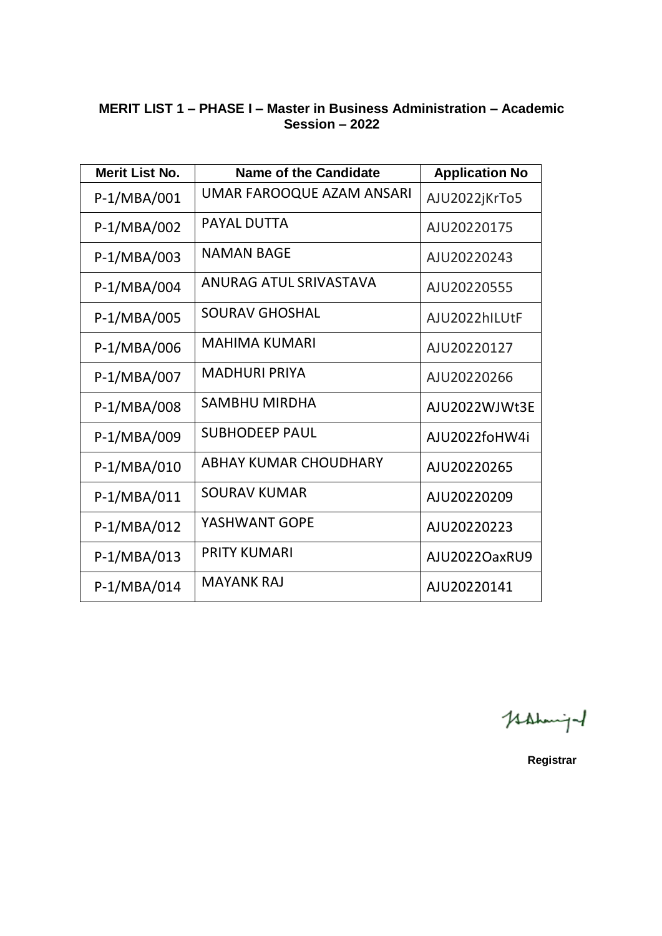### **MERIT LIST 1 – PHASE I – Master in Business Administration – Academic Session – 2022**

| <b>Merit List No.</b> | Name of the Candidate     | <b>Application No</b> |
|-----------------------|---------------------------|-----------------------|
| P-1/MBA/001           | UMAR FAROOQUE AZAM ANSARI | AJU2022jKrTo5         |
| P-1/MBA/002           | <b>PAYAL DUTTA</b>        | AJU20220175           |
| P-1/MBA/003           | NAMAN BAGE                | AJU20220243           |
| P-1/MBA/004           | ANURAG ATUL SRIVASTAVA    | AJU20220555           |
| P-1/MBA/005           | <b>SOURAV GHOSHAL</b>     | AJU2022hILUtF         |
| P-1/MBA/006           | <b>MAHIMA KUMARI</b>      | AJU20220127           |
| P-1/MBA/007           | <b>MADHURI PRIYA</b>      | AJU20220266           |
| P-1/MBA/008           | <b>SAMBHU MIRDHA</b>      | AJU2022WJWt3E         |
| P-1/MBA/009           | <b>SUBHODEEP PAUL</b>     | AJU2022foHW4i         |
| P-1/MBA/010           | ABHAY KUMAR CHOUDHARY     | AJU20220265           |
| P-1/MBA/011           | <b>SOURAV KUMAR</b>       | AJU20220209           |
| P-1/MBA/012           | YASHWANT GOPE             | AJU20220223           |
| P-1/MBA/013           | <b>PRITY KUMARI</b>       | AJU2022OaxRU9         |
| $P-1/MBA/014$         | <b>MAYANK RAJ</b>         | AJU20220141           |

Kahmigal

**Registrar**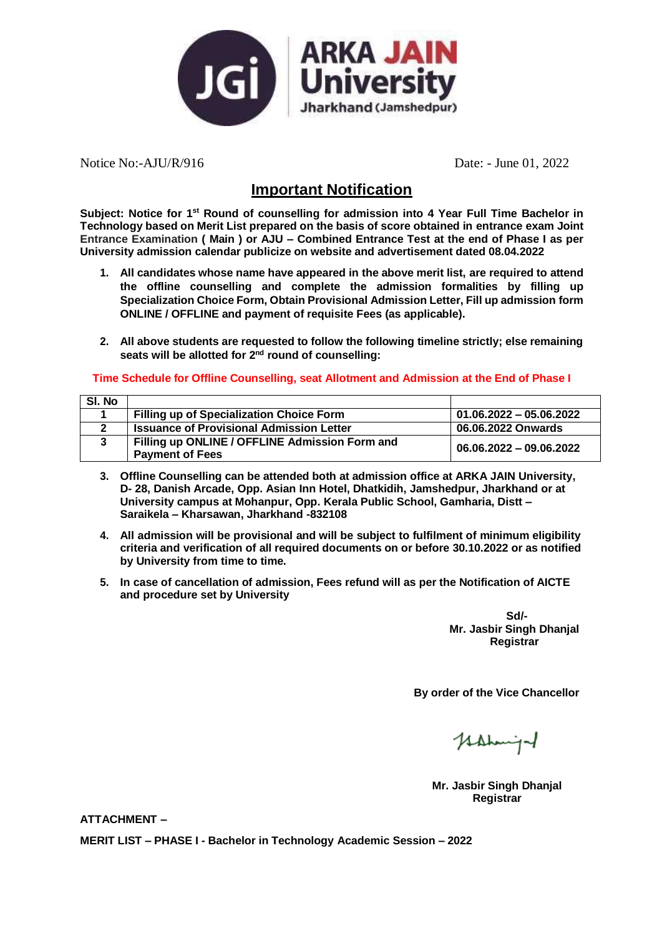

Notice No:-AJU/R/916 Date: - June 01, 2022

## **Important Notification**

**Subject: Notice for 1st Round of counselling for admission into 4 Year Full Time Bachelor in Technology based on Merit List prepared on the basis of score obtained in entrance exam Joint Entrance Examination ( Main ) or AJU – Combined Entrance Test at the end of Phase I as per University admission calendar publicize on website and advertisement dated 08.04.2022**

- **1. All candidates whose name have appeared in the above merit list, are required to attend the offline counselling and complete the admission formalities by filling up Specialization Choice Form, Obtain Provisional Admission Letter, Fill up admission form ONLINE / OFFLINE and payment of requisite Fees (as applicable).**
- **2. All above students are requested to follow the following timeline strictly; else remaining seats will be allotted for 2 nd round of counselling:**

#### **Time Schedule for Offline Counselling, seat Allotment and Admission at the End of Phase I**

| SI. No |                                                 |                           |
|--------|-------------------------------------------------|---------------------------|
|        | <b>Filling up of Specialization Choice Form</b> | $01.06.2022 - 05.06.2022$ |
|        | <b>Issuance of Provisional Admission Letter</b> | 06.06.2022 Onwards        |
|        | Filling up ONLINE / OFFLINE Admission Form and  | 06.06.2022 - 09.06.2022   |
|        | <b>Payment of Fees</b>                          |                           |

- **3. Offline Counselling can be attended both at admission office at ARKA JAIN University, D- 28, Danish Arcade, Opp. Asian Inn Hotel, Dhatkidih, Jamshedpur, Jharkhand or at University campus at Mohanpur, Opp. Kerala Public School, Gamharia, Distt – Saraikela – Kharsawan, Jharkhand -832108**
- **4. All admission will be provisional and will be subject to fulfilment of minimum eligibility criteria and verification of all required documents on or before 30.10.2022 or as notified by University from time to time.**
- **5. In case of cancellation of admission, Fees refund will as per the Notification of AICTE and procedure set by University**

**Sd/- Mr. Jasbir Singh Dhanjal Registrar**

**By order of the Vice Chancellor**

Hahmiga

**Mr. Jasbir Singh Dhanjal Registrar**

**ATTACHMENT –**

**MERIT LIST – PHASE I - Bachelor in Technology Academic Session – 2022**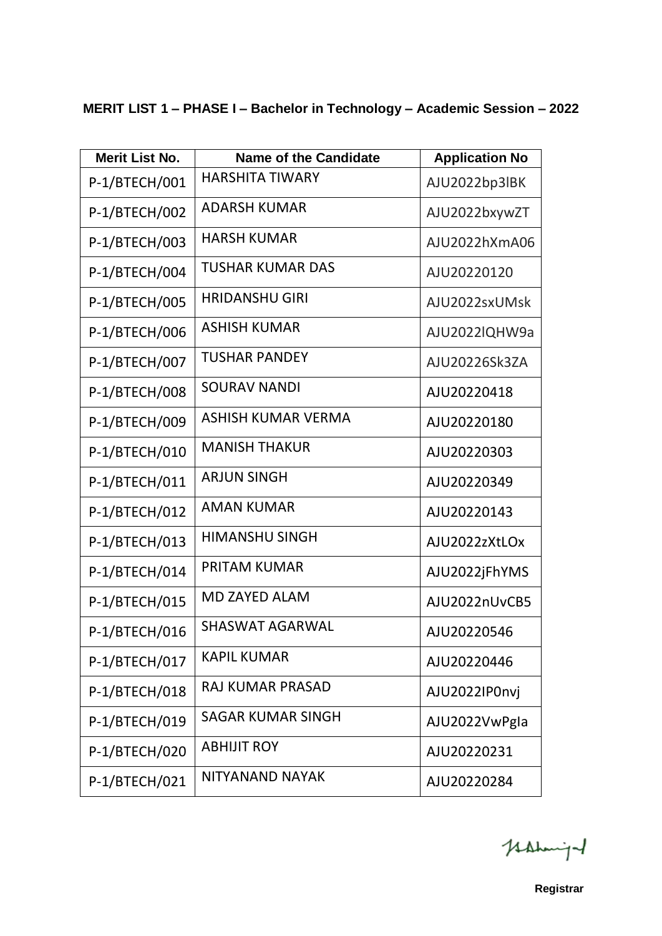| MERIT LIST 1 - PHASE I - Bachelor in Technology - Academic Session - 2022 |  |  |
|---------------------------------------------------------------------------|--|--|
|---------------------------------------------------------------------------|--|--|

| <b>Merit List No.</b> | <b>Name of the Candidate</b> | <b>Application No</b> |
|-----------------------|------------------------------|-----------------------|
| P-1/BTECH/001         | <b>HARSHITA TIWARY</b>       | AJU2022bp3lBK         |
| P-1/BTECH/002         | <b>ADARSH KUMAR</b>          | AJU2022bxywZT         |
| P-1/BTECH/003         | <b>HARSH KUMAR</b>           | AJU2022hXmA06         |
| P-1/BTECH/004         | <b>TUSHAR KUMAR DAS</b>      | AJU20220120           |
| P-1/BTECH/005         | <b>HRIDANSHU GIRI</b>        | AJU2022sxUMsk         |
| P-1/BTECH/006         | <b>ASHISH KUMAR</b>          | AJU2022IQHW9a         |
| P-1/BTECH/007         | <b>TUSHAR PANDEY</b>         | AJU20226Sk3ZA         |
| P-1/BTECH/008         | <b>SOURAV NANDI</b>          | AJU20220418           |
| P-1/BTECH/009         | ASHISH KUMAR VERMA           | AJU20220180           |
| P-1/BTECH/010         | <b>MANISH THAKUR</b>         | AJU20220303           |
| P-1/BTECH/011         | <b>ARJUN SINGH</b>           | AJU20220349           |
| P-1/BTECH/012         | <b>AMAN KUMAR</b>            | AJU20220143           |
| P-1/BTECH/013         | <b>HIMANSHU SINGH</b>        | AJU2022zXtLOx         |
| P-1/BTECH/014         | <b>PRITAM KUMAR</b>          | AJU2022jFhYMS         |
| P-1/BTECH/015         | <b>MD ZAYED ALAM</b>         | AJU2022nUvCB5         |
| P-1/BTECH/016         | <b>SHASWAT AGARWAL</b>       | AJU20220546           |
| P-1/BTECH/017         | <b>KAPIL KUMAR</b>           | AJU20220446           |
| P-1/BTECH/018         | <b>RAJ KUMAR PRASAD</b>      | AJU2022IP0nvj         |
| P-1/BTECH/019         | <b>SAGAR KUMAR SINGH</b>     | AJU2022VwPgla         |
| P-1/BTECH/020         | <b>ABHIJIT ROY</b>           | AJU20220231           |
| P-1/BTECH/021         | <b>NITYANAND NAYAK</b>       | AJU20220284           |

Hahmight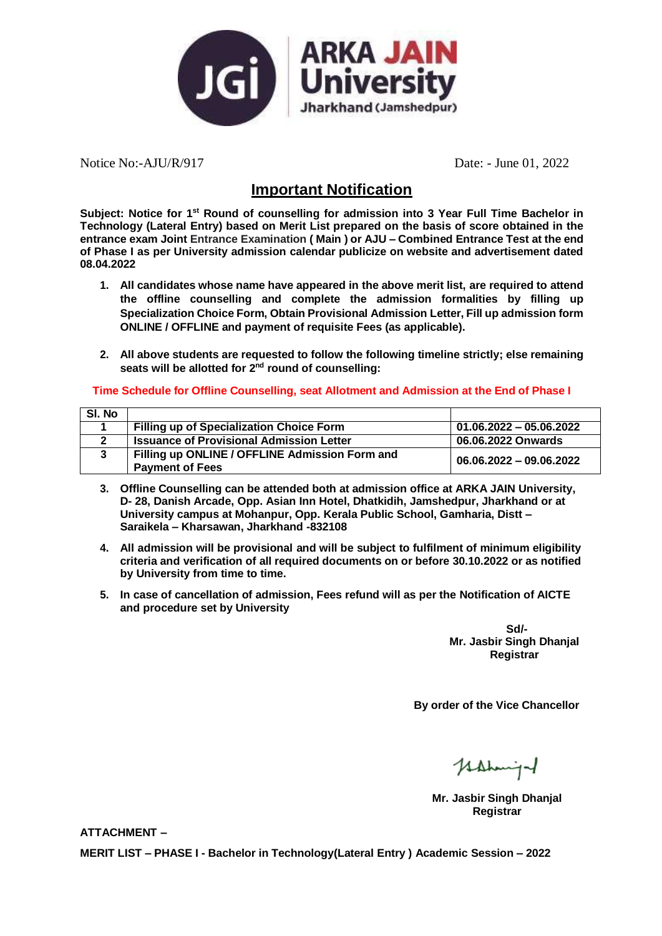

Notice No:-AJU/R/917 Date: - June 01, 2022

## **Important Notification**

**Subject: Notice for 1st Round of counselling for admission into 3 Year Full Time Bachelor in Technology (Lateral Entry) based on Merit List prepared on the basis of score obtained in the entrance exam Joint Entrance Examination ( Main ) or AJU – Combined Entrance Test at the end of Phase I as per University admission calendar publicize on website and advertisement dated 08.04.2022**

- **1. All candidates whose name have appeared in the above merit list, are required to attend the offline counselling and complete the admission formalities by filling up Specialization Choice Form, Obtain Provisional Admission Letter, Fill up admission form ONLINE / OFFLINE and payment of requisite Fees (as applicable).**
- **2. All above students are requested to follow the following timeline strictly; else remaining seats will be allotted for 2 nd round of counselling:**

#### **Time Schedule for Offline Counselling, seat Allotment and Admission at the End of Phase I**

| SI. No |                                                 |                           |
|--------|-------------------------------------------------|---------------------------|
|        | <b>Filling up of Specialization Choice Form</b> | $01.06.2022 - 05.06.2022$ |
|        | <b>Issuance of Provisional Admission Letter</b> | 06.06.2022 Onwards        |
|        | Filling up ONLINE / OFFLINE Admission Form and  | 06.06.2022 - 09.06.2022   |
|        | <b>Payment of Fees</b>                          |                           |

- **3. Offline Counselling can be attended both at admission office at ARKA JAIN University, D- 28, Danish Arcade, Opp. Asian Inn Hotel, Dhatkidih, Jamshedpur, Jharkhand or at University campus at Mohanpur, Opp. Kerala Public School, Gamharia, Distt – Saraikela – Kharsawan, Jharkhand -832108**
- **4. All admission will be provisional and will be subject to fulfilment of minimum eligibility criteria and verification of all required documents on or before 30.10.2022 or as notified by University from time to time.**
- **5. In case of cancellation of admission, Fees refund will as per the Notification of AICTE and procedure set by University**

**Sd/- Mr. Jasbir Singh Dhanjal Registrar**

**By order of the Vice Chancellor**

Hahmiga

**Mr. Jasbir Singh Dhanjal Registrar**

**ATTACHMENT –**

**MERIT LIST – PHASE I - Bachelor in Technology(Lateral Entry ) Academic Session – 2022**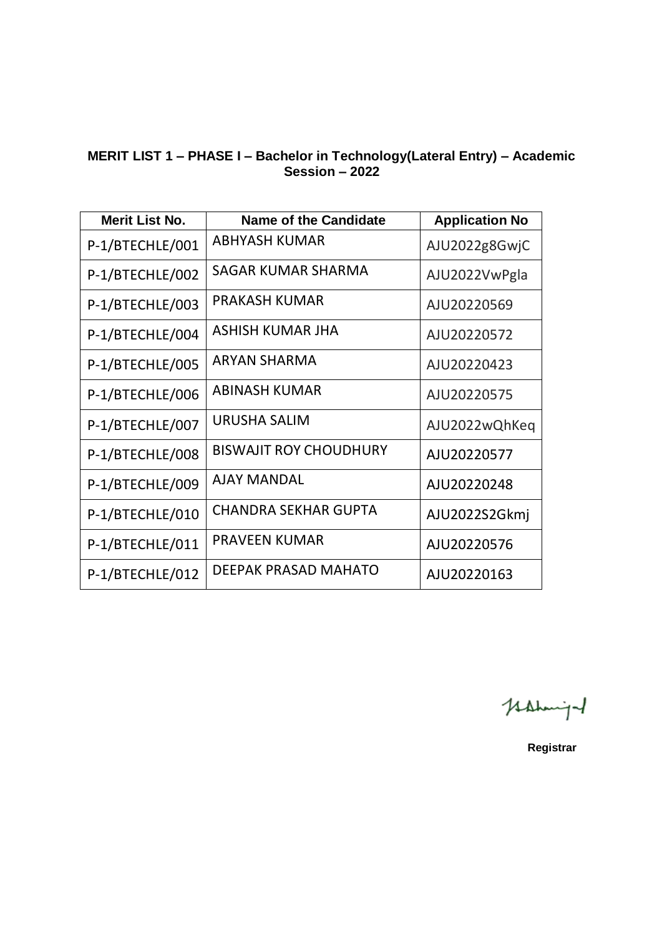#### **MERIT LIST 1 – PHASE I – Bachelor in Technology(Lateral Entry) – Academic Session – 2022**

| Merit List No.  | <b>Name of the Candidate</b>  | <b>Application No</b> |
|-----------------|-------------------------------|-----------------------|
| P-1/BTECHLE/001 | <b>ABHYASH KUMAR</b>          | AJU2022g8GwjC         |
| P-1/BTECHLE/002 | SAGAR KUMAR SHARMA            | AJU2022VwPgla         |
| P-1/BTECHLE/003 | <b>PRAKASH KUMAR</b>          | AJU20220569           |
| P-1/BTECHLE/004 | ASHISH KUMAR JHA              | AJU20220572           |
| P-1/BTECHLE/005 | <b>ARYAN SHARMA</b>           | AJU20220423           |
| P-1/BTECHLE/006 | <b>ABINASH KUMAR</b>          | AJU20220575           |
| P-1/BTECHLE/007 | URUSHA SALIM                  | AJU2022wQhKeq         |
| P-1/BTECHLE/008 | <b>BISWAJIT ROY CHOUDHURY</b> | AJU20220577           |
| P-1/BTECHLE/009 | <b>AJAY MANDAL</b>            | AJU20220248           |
| P-1/BTECHLE/010 | <b>CHANDRA SEKHAR GUPTA</b>   | AJU2022S2Gkmj         |
| P-1/BTECHLE/011 | <b>PRAVEEN KUMAR</b>          | AJU20220576           |
| P-1/BTECHLE/012 | DEEPAK PRASAD MAHATO          | AJU20220163           |

Hahming

**Registrar**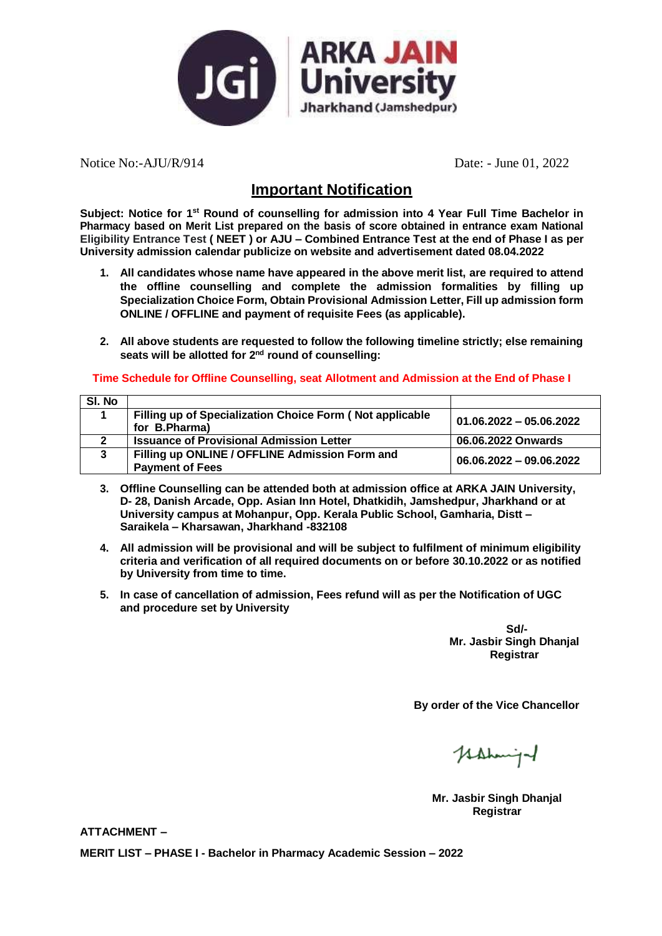

Notice No:-AJU/R/914 Date: - June 01, 2022

## **Important Notification**

**Subject: Notice for 1st Round of counselling for admission into 4 Year Full Time Bachelor in Pharmacy based on Merit List prepared on the basis of score obtained in entrance exam National Eligibility Entrance Test ( NEET ) or AJU – Combined Entrance Test at the end of Phase I as per University admission calendar publicize on website and advertisement dated 08.04.2022**

- **1. All candidates whose name have appeared in the above merit list, are required to attend the offline counselling and complete the admission formalities by filling up Specialization Choice Form, Obtain Provisional Admission Letter, Fill up admission form ONLINE / OFFLINE and payment of requisite Fees (as applicable).**
- **2. All above students are requested to follow the following timeline strictly; else remaining seats will be allotted for 2 nd round of counselling:**

**Time Schedule for Offline Counselling, seat Allotment and Admission at the End of Phase I**

| SI. No |                                                                           |                           |
|--------|---------------------------------------------------------------------------|---------------------------|
|        | Filling up of Specialization Choice Form (Not applicable<br>for B.Pharma) | $01.06.2022 - 05.06.2022$ |
|        | <b>Issuance of Provisional Admission Letter</b>                           | 06.06.2022 Onwards        |
| 3      | Filling up ONLINE / OFFLINE Admission Form and<br><b>Payment of Fees</b>  | 06.06.2022 - 09.06.2022   |

- **3. Offline Counselling can be attended both at admission office at ARKA JAIN University, D- 28, Danish Arcade, Opp. Asian Inn Hotel, Dhatkidih, Jamshedpur, Jharkhand or at University campus at Mohanpur, Opp. Kerala Public School, Gamharia, Distt – Saraikela – Kharsawan, Jharkhand -832108**
- **4. All admission will be provisional and will be subject to fulfilment of minimum eligibility criteria and verification of all required documents on or before 30.10.2022 or as notified by University from time to time.**
- **5. In case of cancellation of admission, Fees refund will as per the Notification of UGC and procedure set by University**

**Sd/- Mr. Jasbir Singh Dhanjal Registrar**

**By order of the Vice Chancellor**

Hahmiga

**Mr. Jasbir Singh Dhanjal Registrar**

**ATTACHMENT –**

**MERIT LIST – PHASE I - Bachelor in Pharmacy Academic Session – 2022**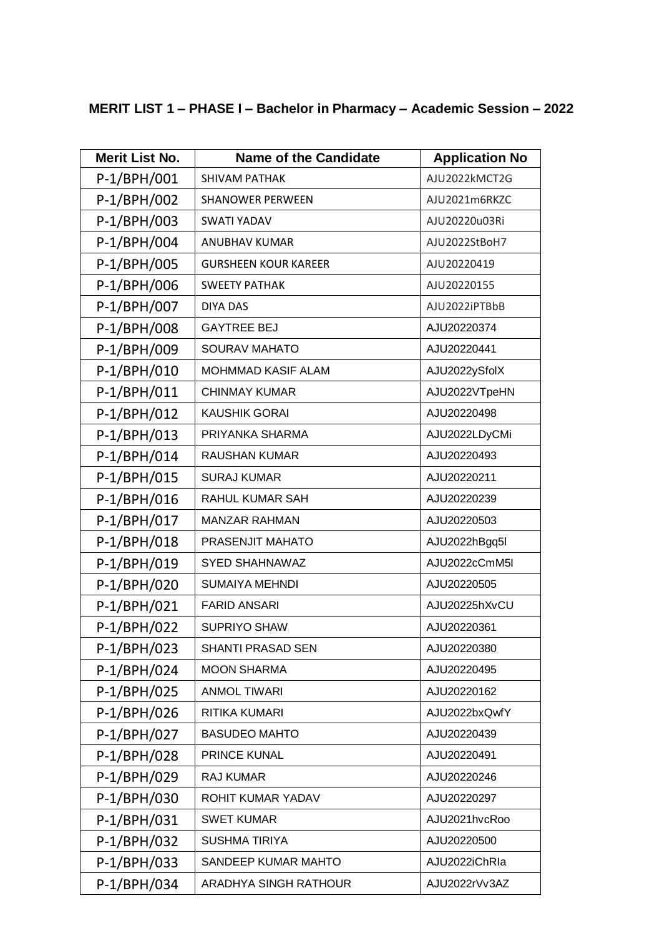## **MERIT LIST 1 – PHASE I – Bachelor in Pharmacy – Academic Session – 2022**

| <b>Merit List No.</b> | <b>Name of the Candidate</b> | <b>Application No</b> |
|-----------------------|------------------------------|-----------------------|
| P-1/BPH/001           | <b>SHIVAM PATHAK</b>         | AJU2022kMCT2G         |
| P-1/BPH/002           | <b>SHANOWER PERWEEN</b>      | AJU2021m6RKZC         |
| P-1/BPH/003           | <b>SWATI YADAV</b>           | AJU20220u03Ri         |
| P-1/BPH/004           | <b>ANUBHAV KUMAR</b>         | AJU2022StBoH7         |
| P-1/BPH/005           | <b>GURSHEEN KOUR KAREER</b>  | AJU20220419           |
| P-1/BPH/006           | <b>SWEETY PATHAK</b>         | AJU20220155           |
| P-1/BPH/007           | <b>DIYA DAS</b>              | AJU2022iPTBbB         |
| P-1/BPH/008           | <b>GAYTREE BEJ</b>           | AJU20220374           |
| P-1/BPH/009           | <b>SOURAV MAHATO</b>         | AJU20220441           |
| P-1/BPH/010           | <b>MOHMMAD KASIF ALAM</b>    | AJU2022ySfolX         |
| P-1/BPH/011           | <b>CHINMAY KUMAR</b>         | AJU2022VTpeHN         |
| P-1/BPH/012           | <b>KAUSHIK GORAI</b>         | AJU20220498           |
| P-1/BPH/013           | PRIYANKA SHARMA              | AJU2022LDyCMi         |
| $P-1/BPH/014$         | <b>RAUSHAN KUMAR</b>         | AJU20220493           |
| P-1/BPH/015           | <b>SURAJ KUMAR</b>           | AJU20220211           |
| P-1/BPH/016           | RAHUL KUMAR SAH              | AJU20220239           |
| P-1/BPH/017           | <b>MANZAR RAHMAN</b>         | AJU20220503           |
| P-1/BPH/018           | PRASENJIT MAHATO             | AJU2022hBgq5l         |
| P-1/BPH/019           | <b>SYED SHAHNAWAZ</b>        | AJU2022cCmM5I         |
| P-1/BPH/020           | <b>SUMAIYA MEHNDI</b>        | AJU20220505           |
| P-1/BPH/021           | <b>FARID ANSARI</b>          | AJU20225hXvCU         |
| P-1/BPH/022           | <b>SUPRIYO SHAW</b>          | AJU20220361           |
| P-1/BPH/023           | <b>SHANTI PRASAD SEN</b>     | AJU20220380           |
| P-1/BPH/024           | <b>MOON SHARMA</b>           | AJU20220495           |
| P-1/BPH/025           | <b>ANMOL TIWARI</b>          | AJU20220162           |
| $P-1/BPH/026$         | <b>RITIKA KUMARI</b>         | AJU2022bxQwfY         |
| P-1/BPH/027           | <b>BASUDEO MAHTO</b>         | AJU20220439           |
| $P-1/BPH/028$         | PRINCE KUNAL                 | AJU20220491           |
| P-1/BPH/029           | RAJ KUMAR                    | AJU20220246           |
| $P-1/BPH/030$         | ROHIT KUMAR YADAV            | AJU20220297           |
| P-1/BPH/031           | <b>SWET KUMAR</b>            | AJU2021hvcRoo         |
| P-1/BPH/032           | <b>SUSHMA TIRIYA</b>         | AJU20220500           |
| P-1/BPH/033           | SANDEEP KUMAR MAHTO          | AJU2022iChRIa         |
| P-1/BPH/034           | <b>ARADHYA SINGH RATHOUR</b> | AJU2022rVv3AZ         |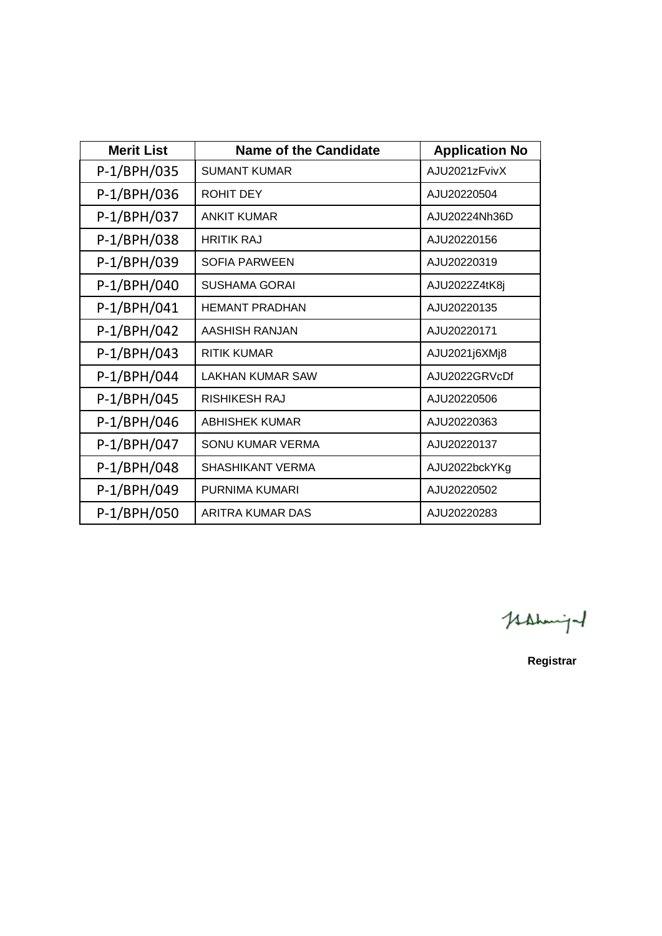| <b>Merit List</b> | Name of the Candidate   | <b>Application No</b> |
|-------------------|-------------------------|-----------------------|
| P-1/BPH/035       | <b>SUMANT KUMAR</b>     | AJU2021zFvivX         |
| P-1/BPH/036       | <b>ROHIT DEY</b>        | AJU20220504           |
| P-1/BPH/037       | <b>ANKIT KUMAR</b>      | AJU20224Nh36D         |
| P-1/BPH/038       | <b>HRITIK RAJ</b>       | AJU20220156           |
| P-1/BPH/039       | <b>SOFIA PARWEEN</b>    | AJU20220319           |
| P-1/BPH/040       | <b>SUSHAMA GORAI</b>    | AJU2022Z4tK8j         |
| P-1/BPH/041       | <b>HEMANT PRADHAN</b>   | AJU20220135           |
| $P-1/BPH/042$     | AASHISH RANJAN          | AJU20220171           |
| P-1/BPH/043       | <b>RITIK KUMAR</b>      | AJU2021j6XMj8         |
| P-1/BPH/044       | LAKHAN KUMAR SAW        | AJU2022GRVcDf         |
| P-1/BPH/045       | <b>RISHIKESH RAJ</b>    | AJU20220506           |
| P-1/BPH/046       | <b>ABHISHEK KUMAR</b>   | AJU20220363           |
| P-1/BPH/047       | SONU KUMAR VERMA        | AJU20220137           |
| P-1/BPH/048       | <b>SHASHIKANT VERMA</b> | AJU2022bckYKg         |
| P-1/BPH/049       | PURNIMA KUMARI          | AJU20220502           |
| P-1/BPH/050       | ARITRA KUMAR DAS        | AJU20220283           |

Mahmight

**Registrar**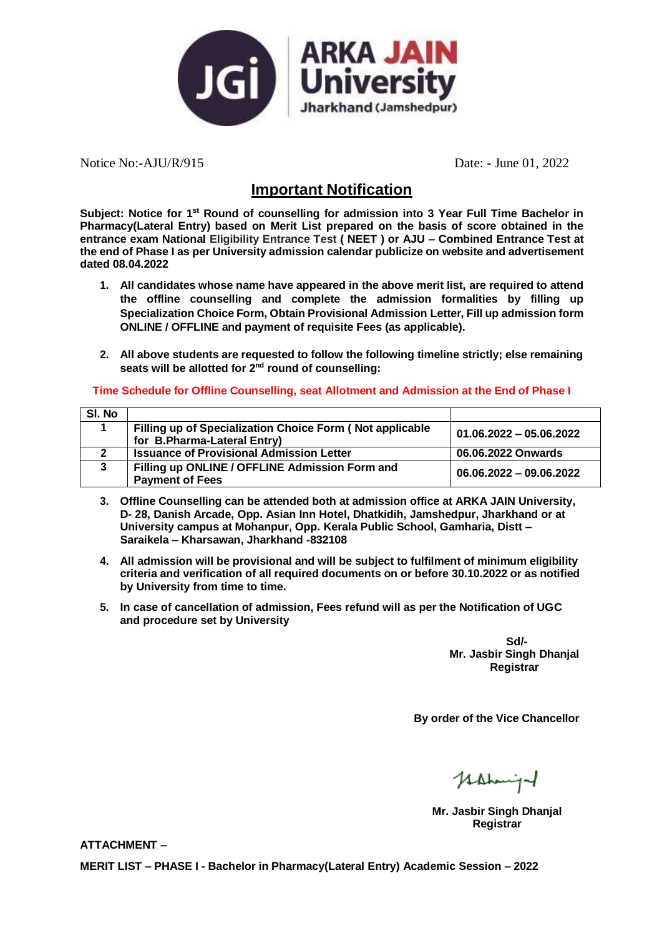

Notice No:-AJU/R/915 Date: - June 01, 2022

## **Important Notification**

**Subject: Notice for 1st Round of counselling for admission into 3 Year Full Time Bachelor in Pharmacy(Lateral Entry) based on Merit List prepared on the basis of score obtained in the entrance exam National Eligibility Entrance Test ( NEET ) or AJU – Combined Entrance Test at the end of Phase I as per University admission calendar publicize on website and advertisement dated 08.04.2022**

- **1. All candidates whose name have appeared in the above merit list, are required to attend the offline counselling and complete the admission formalities by filling up Specialization Choice Form, Obtain Provisional Admission Letter, Fill up admission form ONLINE / OFFLINE and payment of requisite Fees (as applicable).**
- **2. All above students are requested to follow the following timeline strictly; else remaining seats will be allotted for 2 nd round of counselling:**

#### **Time Schedule for Offline Counselling, seat Allotment and Admission at the End of Phase I**

| SI. No |                                                          |                           |
|--------|----------------------------------------------------------|---------------------------|
|        | Filling up of Specialization Choice Form (Not applicable | $01.06.2022 - 05.06.2022$ |
|        | for B.Pharma-Lateral Entry)                              |                           |
|        | <b>Issuance of Provisional Admission Letter</b>          | 06.06.2022 Onwards        |
| 3      | Filling up ONLINE / OFFLINE Admission Form and           | $06.06.2022 - 09.06.2022$ |
|        | <b>Payment of Fees</b>                                   |                           |

- **3. Offline Counselling can be attended both at admission office at ARKA JAIN University, D- 28, Danish Arcade, Opp. Asian Inn Hotel, Dhatkidih, Jamshedpur, Jharkhand or at University campus at Mohanpur, Opp. Kerala Public School, Gamharia, Distt – Saraikela – Kharsawan, Jharkhand -832108**
- **4. All admission will be provisional and will be subject to fulfilment of minimum eligibility criteria and verification of all required documents on or before 30.10.2022 or as notified by University from time to time.**
- **5. In case of cancellation of admission, Fees refund will as per the Notification of UGC and procedure set by University**

**Sd/- Mr. Jasbir Singh Dhanjal Registrar**

**By order of the Vice Chancellor**

Hahmiga

**Mr. Jasbir Singh Dhanjal Registrar**

**ATTACHMENT –**

**MERIT LIST – PHASE I - Bachelor in Pharmacy(Lateral Entry) Academic Session – 2022**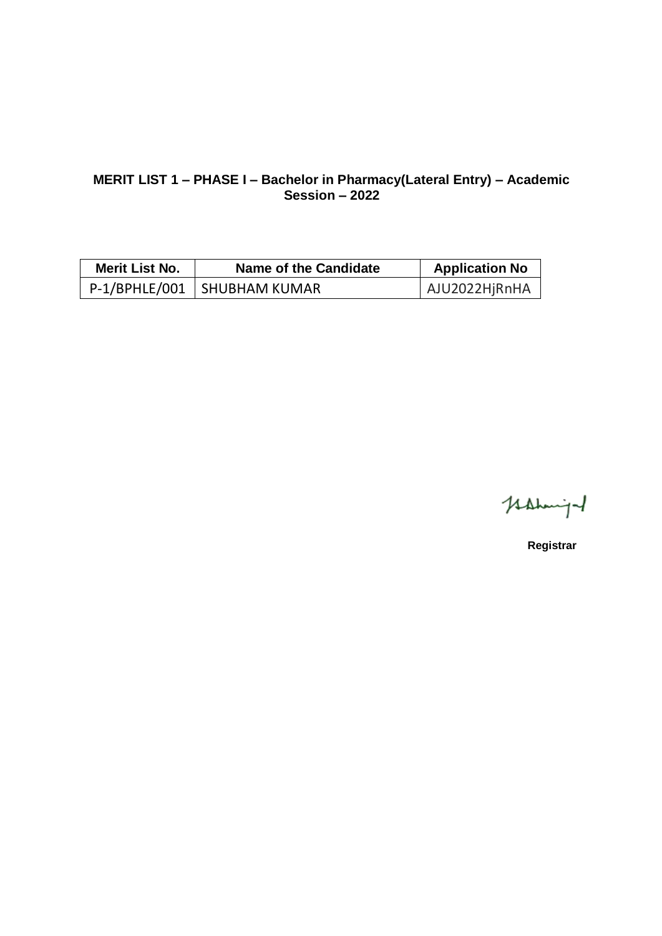#### **MERIT LIST 1 – PHASE I – Bachelor in Pharmacy(Lateral Entry) – Academic Session – 2022**

| <b>Merit List No.</b> | Name of the Candidate         | <b>Application No</b> |
|-----------------------|-------------------------------|-----------------------|
|                       | P-1/BPHLE/001   SHUBHAM KUMAR | AJU2022HjRnHA         |

Hahmight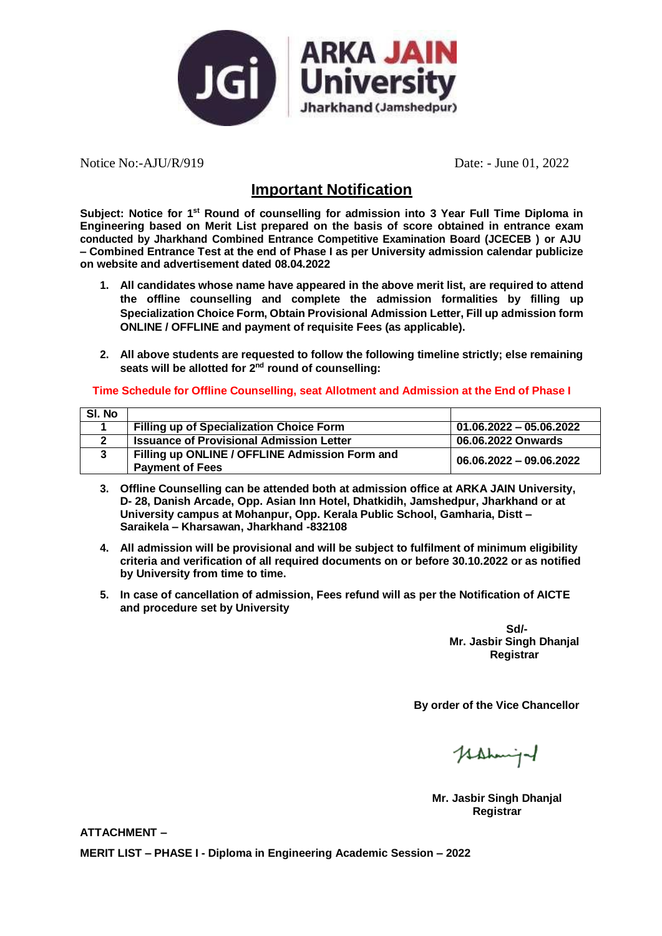

Notice No:-AJU/R/919 Date: - June 01, 2022

### **Important Notification**

**Subject: Notice for 1st Round of counselling for admission into 3 Year Full Time Diploma in Engineering based on Merit List prepared on the basis of score obtained in entrance exam conducted by Jharkhand Combined Entrance Competitive Examination Board (JCECEB ) or AJU – Combined Entrance Test at the end of Phase I as per University admission calendar publicize on website and advertisement dated 08.04.2022**

- **1. All candidates whose name have appeared in the above merit list, are required to attend the offline counselling and complete the admission formalities by filling up Specialization Choice Form, Obtain Provisional Admission Letter, Fill up admission form ONLINE / OFFLINE and payment of requisite Fees (as applicable).**
- **2. All above students are requested to follow the following timeline strictly; else remaining seats will be allotted for 2 nd round of counselling:**

#### **Time Schedule for Offline Counselling, seat Allotment and Admission at the End of Phase I**

| SI. No |                                                 |                           |
|--------|-------------------------------------------------|---------------------------|
|        | <b>Filling up of Specialization Choice Form</b> | $01.06.2022 - 05.06.2022$ |
|        | <b>Issuance of Provisional Admission Letter</b> | 06.06.2022 Onwards        |
|        | Filling up ONLINE / OFFLINE Admission Form and  | 06.06.2022 - 09.06.2022   |
|        | <b>Payment of Fees</b>                          |                           |

- **3. Offline Counselling can be attended both at admission office at ARKA JAIN University, D- 28, Danish Arcade, Opp. Asian Inn Hotel, Dhatkidih, Jamshedpur, Jharkhand or at University campus at Mohanpur, Opp. Kerala Public School, Gamharia, Distt – Saraikela – Kharsawan, Jharkhand -832108**
- **4. All admission will be provisional and will be subject to fulfilment of minimum eligibility criteria and verification of all required documents on or before 30.10.2022 or as notified by University from time to time.**
- **5. In case of cancellation of admission, Fees refund will as per the Notification of AICTE and procedure set by University**

**Sd/- Mr. Jasbir Singh Dhanjal Registrar**

**By order of the Vice Chancellor**

Hahmiga

**Mr. Jasbir Singh Dhanjal Registrar**

**ATTACHMENT –**

**MERIT LIST – PHASE I - Diploma in Engineering Academic Session – 2022**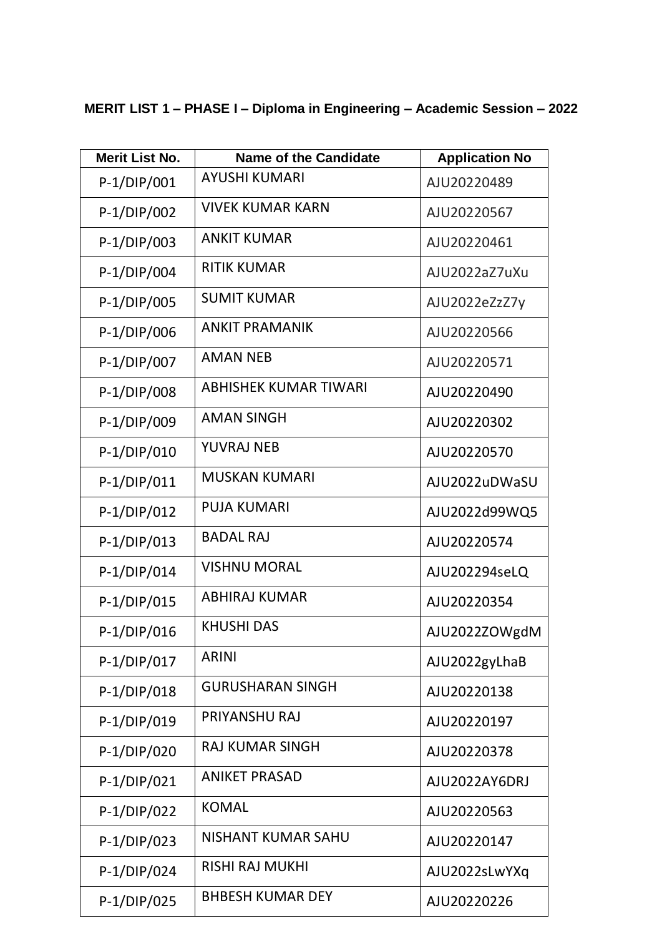# **MERIT LIST 1 – PHASE I – Diploma in Engineering – Academic Session – 2022**

| <b>Merit List No.</b> | <b>Name of the Candidate</b> | <b>Application No</b> |
|-----------------------|------------------------------|-----------------------|
| P-1/DIP/001           | <b>AYUSHI KUMARI</b>         | AJU20220489           |
| P-1/DIP/002           | <b>VIVEK KUMAR KARN</b>      | AJU20220567           |
| P-1/DIP/003           | <b>ANKIT KUMAR</b>           | AJU20220461           |
| P-1/DIP/004           | <b>RITIK KUMAR</b>           | AJU2022aZ7uXu         |
| P-1/DIP/005           | <b>SUMIT KUMAR</b>           | AJU2022eZzZ7y         |
| P-1/DIP/006           | <b>ANKIT PRAMANIK</b>        | AJU20220566           |
| P-1/DIP/007           | <b>AMAN NEB</b>              | AJU20220571           |
| P-1/DIP/008           | <b>ABHISHEK KUMAR TIWARI</b> | AJU20220490           |
| P-1/DIP/009           | <b>AMAN SINGH</b>            | AJU20220302           |
| P-1/DIP/010           | <b>YUVRAJ NEB</b>            | AJU20220570           |
| P-1/DIP/011           | <b>MUSKAN KUMARI</b>         | AJU2022uDWaSU         |
| $P-1/DIP/012$         | <b>PUJA KUMARI</b>           | AJU2022d99WQ5         |
| $P-1/DIP/013$         | <b>BADAL RAJ</b>             | AJU20220574           |
| P-1/DIP/014           | <b>VISHNU MORAL</b>          | AJU202294seLQ         |
| P-1/DIP/015           | <b>ABHIRAJ KUMAR</b>         | AJU20220354           |
| $P-1/DIP/016$         | <b>KHUSHI DAS</b>            | AJU2022ZOWgdM         |
| $P-1/DIP/017$         | <b>ARINI</b>                 | AJU2022gyLhaB         |
| P-1/DIP/018           | <b>GURUSHARAN SINGH</b>      | AJU20220138           |
| P-1/DIP/019           | PRIYANSHU RAJ                | AJU20220197           |
| P-1/DIP/020           | <b>RAJ KUMAR SINGH</b>       | AJU20220378           |
| $P-1/DIP/021$         | <b>ANIKET PRASAD</b>         | AJU2022AY6DRJ         |
| $P-1/DIP/022$         | <b>KOMAL</b>                 | AJU20220563           |
| P-1/DIP/023           | NISHANT KUMAR SAHU           | AJU20220147           |
| P-1/DIP/024           | <b>RISHI RAJ MUKHI</b>       | AJU2022sLwYXq         |
| P-1/DIP/025           | <b>BHBESH KUMAR DEY</b>      | AJU20220226           |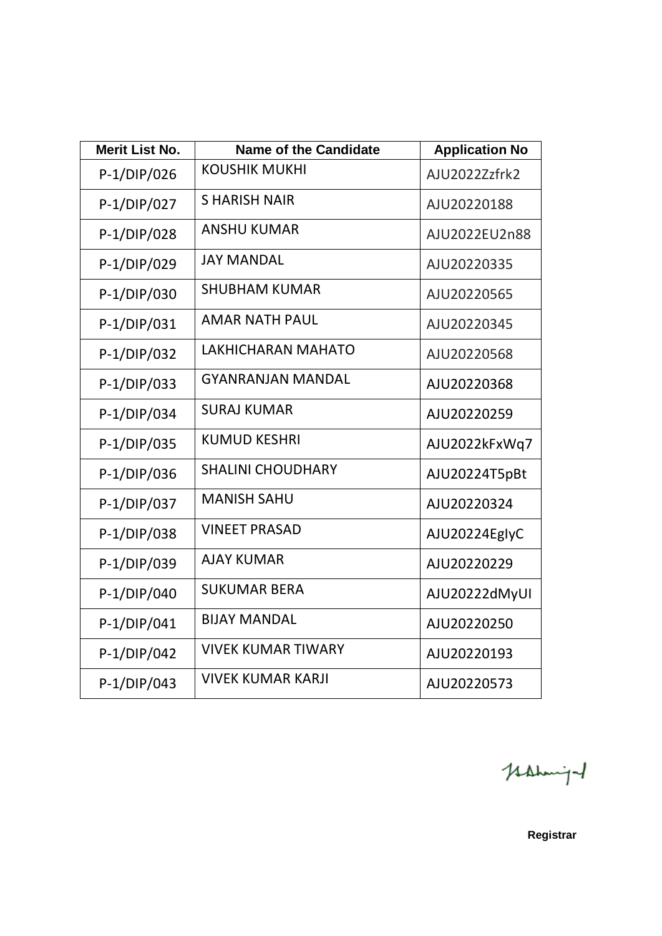| <b>Merit List No.</b> | <b>Name of the Candidate</b> | <b>Application No</b> |
|-----------------------|------------------------------|-----------------------|
| P-1/DIP/026           | <b>KOUSHIK MUKHI</b>         | AJU2022Zzfrk2         |
| P-1/DIP/027           | <b>SHARISH NAIR</b>          | AJU20220188           |
| P-1/DIP/028           | <b>ANSHU KUMAR</b>           | AJU2022EU2n88         |
| P-1/DIP/029           | <b>JAY MANDAL</b>            | AJU20220335           |
| P-1/DIP/030           | <b>SHUBHAM KUMAR</b>         | AJU20220565           |
| P-1/DIP/031           | <b>AMAR NATH PAUL</b>        | AJU20220345           |
| P-1/DIP/032           | LAKHICHARAN MAHATO           | AJU20220568           |
| P-1/DIP/033           | <b>GYANRANJAN MANDAL</b>     | AJU20220368           |
| P-1/DIP/034           | <b>SURAJ KUMAR</b>           | AJU20220259           |
| P-1/DIP/035           | <b>KUMUD KESHRI</b>          | AJU2022kFxWq7         |
| P-1/DIP/036           | <b>SHALINI CHOUDHARY</b>     | AJU20224T5pBt         |
| P-1/DIP/037           | <b>MANISH SAHU</b>           | AJU20220324           |
| P-1/DIP/038           | <b>VINEET PRASAD</b>         | AJU20224EglyC         |
| P-1/DIP/039           | <b>AJAY KUMAR</b>            | AJU20220229           |
| P-1/DIP/040           | <b>SUKUMAR BERA</b>          | AJU20222dMyUI         |
| P-1/DIP/041           | <b>BIJAY MANDAL</b>          | AJU20220250           |
| P-1/DIP/042           | <b>VIVEK KUMAR TIWARY</b>    | AJU20220193           |
| P-1/DIP/043           | <b>VIVEK KUMAR KARJI</b>     | AJU20220573           |

Hahmind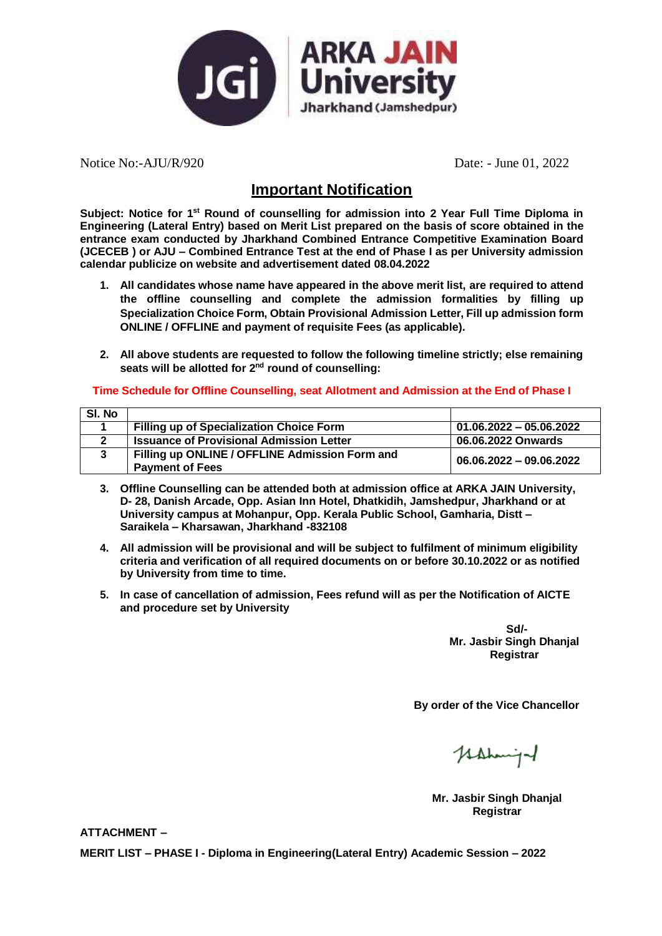

Notice No:-AJU/R/920 Date: - June 01, 2022

## **Important Notification**

**Subject: Notice for 1st Round of counselling for admission into 2 Year Full Time Diploma in Engineering (Lateral Entry) based on Merit List prepared on the basis of score obtained in the entrance exam conducted by Jharkhand Combined Entrance Competitive Examination Board (JCECEB ) or AJU – Combined Entrance Test at the end of Phase I as per University admission calendar publicize on website and advertisement dated 08.04.2022**

- **1. All candidates whose name have appeared in the above merit list, are required to attend the offline counselling and complete the admission formalities by filling up Specialization Choice Form, Obtain Provisional Admission Letter, Fill up admission form ONLINE / OFFLINE and payment of requisite Fees (as applicable).**
- **2. All above students are requested to follow the following timeline strictly; else remaining seats will be allotted for 2 nd round of counselling:**

#### **Time Schedule for Offline Counselling, seat Allotment and Admission at the End of Phase I**

| SI. No |                                                 |                           |
|--------|-------------------------------------------------|---------------------------|
|        | <b>Filling up of Specialization Choice Form</b> | $01.06.2022 - 05.06.2022$ |
|        | <b>Issuance of Provisional Admission Letter</b> | 06.06.2022 Onwards        |
|        | Filling up ONLINE / OFFLINE Admission Form and  | 06.06.2022 - 09.06.2022   |
|        | <b>Payment of Fees</b>                          |                           |

- **3. Offline Counselling can be attended both at admission office at ARKA JAIN University, D- 28, Danish Arcade, Opp. Asian Inn Hotel, Dhatkidih, Jamshedpur, Jharkhand or at University campus at Mohanpur, Opp. Kerala Public School, Gamharia, Distt – Saraikela – Kharsawan, Jharkhand -832108**
- **4. All admission will be provisional and will be subject to fulfilment of minimum eligibility criteria and verification of all required documents on or before 30.10.2022 or as notified by University from time to time.**
- **5. In case of cancellation of admission, Fees refund will as per the Notification of AICTE and procedure set by University**

**Sd/- Mr. Jasbir Singh Dhanjal Registrar**

**By order of the Vice Chancellor**

Hahmiga

**Mr. Jasbir Singh Dhanjal Registrar**

**ATTACHMENT –**

**MERIT LIST – PHASE I - Diploma in Engineering(Lateral Entry) Academic Session – 2022**